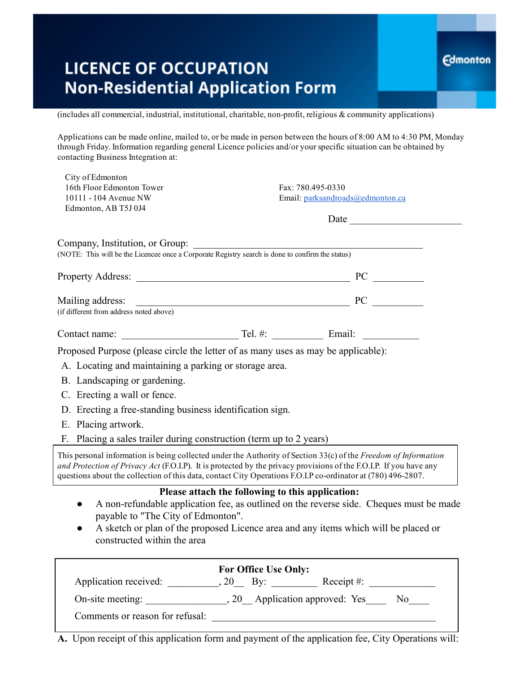## **LICENCE OF OCCUPATION Non-Residential Application Form**

 $(includes all commercial, industrial, institutional, charitable, non-profit, religious & community applications)$ 

Applications can be made online, mailed to, or be made in person between the hours of 8:00 AM to 4:30 PM, Monday through Friday. Information regarding general Licence policies and/or yourspecific situation can be obtained by contacting Business Integration at:

**Edmonton** 

| City of Edmonton                                                                                                                                                       |                   |                                                                                                                                                                                                                                                                                                                                                       |  |  |  |
|------------------------------------------------------------------------------------------------------------------------------------------------------------------------|-------------------|-------------------------------------------------------------------------------------------------------------------------------------------------------------------------------------------------------------------------------------------------------------------------------------------------------------------------------------------------------|--|--|--|
| 16th Floor Edmonton Tower                                                                                                                                              | Fax: 780.495-0330 |                                                                                                                                                                                                                                                                                                                                                       |  |  |  |
| 10111 - 104 Avenue NW                                                                                                                                                  |                   | Email: parksandroads@edmonton.ca                                                                                                                                                                                                                                                                                                                      |  |  |  |
| Edmonton, AB T5J 0J4                                                                                                                                                   |                   |                                                                                                                                                                                                                                                                                                                                                       |  |  |  |
|                                                                                                                                                                        |                   |                                                                                                                                                                                                                                                                                                                                                       |  |  |  |
| Company, Institution, or Group:<br>Company, Institution, or Group:<br>(NOTE: This will be the Licencee once a Corporate Registry search is done to confirm the status) |                   |                                                                                                                                                                                                                                                                                                                                                       |  |  |  |
|                                                                                                                                                                        |                   |                                                                                                                                                                                                                                                                                                                                                       |  |  |  |
|                                                                                                                                                                        |                   | vialing address: <u>Containing</u> address and above) <b>PC</b> <u>Containing</u> <b>PC</b> <u>Containing</u> <b>PC</b> <u>Containing</u> <b>PC</b> <u>Containing</u> <b>PC</b> <u>Containing</u> <b>PC</b> <u>Containing</u> <b>PC</b> <u>Containing</u> <b>PC</b> <u>Containing</u> <b>PC</b> <u>Containing</u> <b>PC</b> <u>Conta</u>              |  |  |  |
|                                                                                                                                                                        |                   |                                                                                                                                                                                                                                                                                                                                                       |  |  |  |
|                                                                                                                                                                        |                   |                                                                                                                                                                                                                                                                                                                                                       |  |  |  |
| Proposed Purpose (please circle the letter of as many uses as may be applicable):                                                                                      |                   |                                                                                                                                                                                                                                                                                                                                                       |  |  |  |
| A. Locating and maintaining a parking or storage area.                                                                                                                 |                   |                                                                                                                                                                                                                                                                                                                                                       |  |  |  |
|                                                                                                                                                                        |                   |                                                                                                                                                                                                                                                                                                                                                       |  |  |  |
| B. Landscaping or gardening.                                                                                                                                           |                   |                                                                                                                                                                                                                                                                                                                                                       |  |  |  |
| C. Erecting a wall or fence.<br>D. Erecting a free-standing business identification sign.                                                                              |                   |                                                                                                                                                                                                                                                                                                                                                       |  |  |  |
|                                                                                                                                                                        |                   |                                                                                                                                                                                                                                                                                                                                                       |  |  |  |
| F. Placing a sales trailer during construction (term up to 2 years)                                                                                                    |                   |                                                                                                                                                                                                                                                                                                                                                       |  |  |  |
|                                                                                                                                                                        |                   | This personal information is being collected under the Authority of Section 33(c) of the Freedom of Information<br>and Protection of Privacy Act (F.O.I.P). It is protected by the privacy provisions of the F.O.I.P. If you have any<br>questions about the collection of this data, contact City Operations F.O.I.P co-ordinator at (780) 496-2807. |  |  |  |
|                                                                                                                                                                        |                   | Please attach the following to this application:                                                                                                                                                                                                                                                                                                      |  |  |  |
| $\bullet$                                                                                                                                                              |                   | A non-refundable application fee, as outlined on the reverse side. Cheques must be made                                                                                                                                                                                                                                                               |  |  |  |
| payable to "The City of Edmonton".                                                                                                                                     |                   |                                                                                                                                                                                                                                                                                                                                                       |  |  |  |
| $\bullet$<br>constructed within the area                                                                                                                               |                   | A sketch or plan of the proposed Licence area and any items which will be placed or                                                                                                                                                                                                                                                                   |  |  |  |
|                                                                                                                                                                        |                   |                                                                                                                                                                                                                                                                                                                                                       |  |  |  |
| For Office Use Only:                                                                                                                                                   |                   |                                                                                                                                                                                                                                                                                                                                                       |  |  |  |
|                                                                                                                                                                        |                   | Application received: ___________, 20____ By: ______________ Receipt #: ____________________________                                                                                                                                                                                                                                                  |  |  |  |
|                                                                                                                                                                        |                   |                                                                                                                                                                                                                                                                                                                                                       |  |  |  |
| Comments or reason for refusal:                                                                                                                                        |                   |                                                                                                                                                                                                                                                                                                                                                       |  |  |  |

A. Upon receipt of this application form and payment of the application fee, City Operations will: